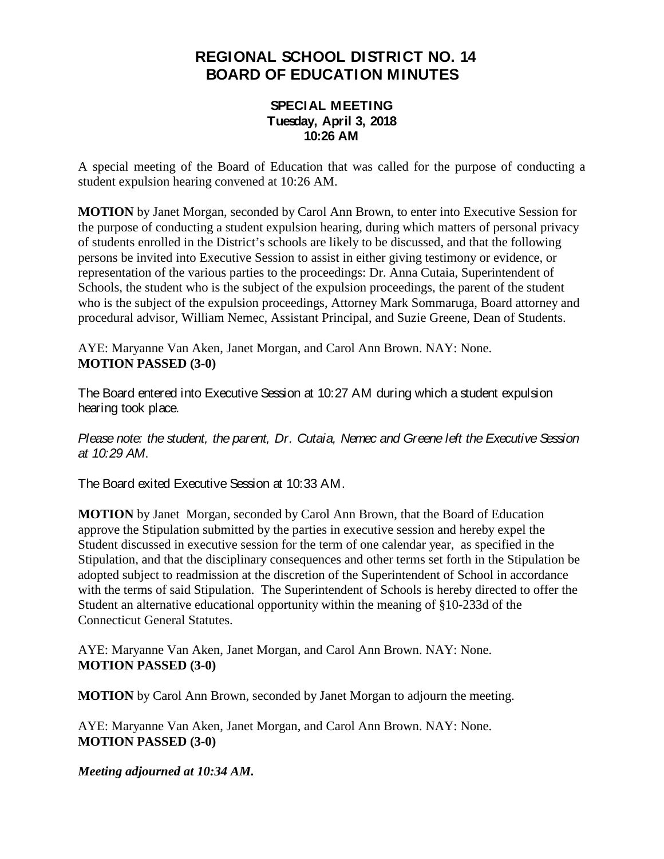## **REGIONAL SCHOOL DISTRICT NO. 14 BOARD OF EDUCATION MINUTES**

## **SPECIAL MEETING Tuesday, April 3, 2018 10:26 AM**

A special meeting of the Board of Education that was called for the purpose of conducting a student expulsion hearing convened at 10:26 AM.

**MOTION** by Janet Morgan, seconded by Carol Ann Brown, to enter into Executive Session for the purpose of conducting a student expulsion hearing, during which matters of personal privacy of students enrolled in the District's schools are likely to be discussed, and that the following persons be invited into Executive Session to assist in either giving testimony or evidence, or representation of the various parties to the proceedings: Dr. Anna Cutaia, Superintendent of Schools, the student who is the subject of the expulsion proceedings, the parent of the student who is the subject of the expulsion proceedings, Attorney Mark Sommaruga, Board attorney and procedural advisor, William Nemec, Assistant Principal, and Suzie Greene, Dean of Students.

AYE: Maryanne Van Aken, Janet Morgan, and Carol Ann Brown. NAY: None. **MOTION PASSED (3-0)**

The Board entered into Executive Session at 10:27 AM during which a student expulsion hearing took place.

*Please note: the student, the parent, Dr. Cutaia, Nemec and Greene left the Executive Session at 10:29 AM*.

The Board exited Executive Session at 10:33 AM.

**MOTION** by Janet Morgan, seconded by Carol Ann Brown, that the Board of Education approve the Stipulation submitted by the parties in executive session and hereby expel the Student discussed in executive session for the term of one calendar year, as specified in the Stipulation, and that the disciplinary consequences and other terms set forth in the Stipulation be adopted subject to readmission at the discretion of the Superintendent of School in accordance with the terms of said Stipulation. The Superintendent of Schools is hereby directed to offer the Student an alternative educational opportunity within the meaning of §10-233d of the Connecticut General Statutes.

AYE: Maryanne Van Aken, Janet Morgan, and Carol Ann Brown. NAY: None. **MOTION PASSED (3-0)**

**MOTION** by Carol Ann Brown, seconded by Janet Morgan to adjourn the meeting.

AYE: Maryanne Van Aken, Janet Morgan, and Carol Ann Brown. NAY: None. **MOTION PASSED (3-0)**

*Meeting adjourned at 10:34 AM.*